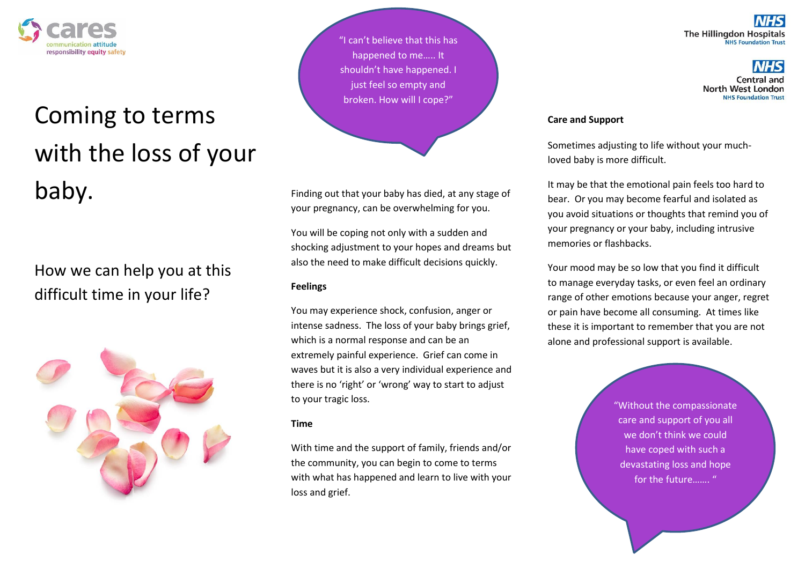

# Coming to terms with the loss of your baby.

## How we can help you at this difficult time in your life?



"I can't believe that this has happened to me….. It shouldn't have happened. I just feel so empty and broken. How will I cope?"

Finding out that your baby has died, at any stage of your pregnancy, can be overwhelming for you.

You will be coping not only with a sudden and shocking adjustment to your hopes and dreams but also the need to make difficult decisions quickly.

### **Feelings**

You may experience shock, confusion, anger or intense sadness. The loss of your baby brings grief, which is a normal response and can be an extremely painful experience. Grief can come in waves but it is also a very individual experience and there is no 'right' or 'wrong' way to start to adjust to your tragic loss.

### **Time**

With time and the support of family, friends and/or the community, you can begin to come to terms with what has happened and learn to live with your loss and grief.

**The Hillingdon Hospitals NHS Foundation Trust** 

> Central and North West London **NHS Foundation Trust**

#### **Care and Support**

Sometimes adjusting to life without your muchloved baby is more difficult.

It may be that the emotional pain feels too hard to bear. Or you may become fearful and isolated as you avoid situations or thoughts that remind you of your pregnancy or your baby, including intrusive memories or flashbacks.

Your mood may be so low that you find it difficult to manage everyday tasks, or even feel an ordinary range of other emotions because your anger, regret or pain have become all consuming. At times like these it is important to remember that you are not alone and professional support is available.

> "Without the compassionate care and support of you all we don't think we could have coped with such a devastating loss and hope for the future……. "